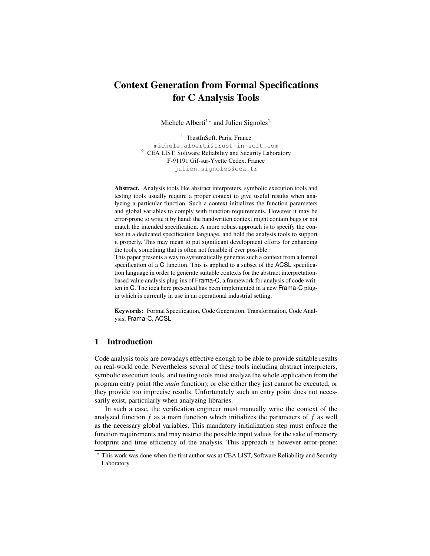# Context Generation from Formal Specifications for C Analysis Tools

Michele Alberti<sup>1\*</sup> and Julien Signoles<sup>2</sup>

<sup>1</sup> TrustInSoft, Paris, France michele.alberti@trust-in-soft.com <sup>2</sup> CEA LIST, Software Reliability and Security Laboratory F-91191 Gif-sur-Yvette Cedex, France julien.signoles@cea.fr

Abstract. Analysis tools like abstract interpreters, symbolic execution tools and testing tools usually require a proper context to give useful results when analyzing a particular function. Such a context initializes the function parameters and global variables to comply with function requirements. However it may be error-prone to write it by hand: the handwritten context might contain bugs or not match the intended specification. A more robust approach is to specify the context in a dedicated specification language, and hold the analysis tools to support it properly. This may mean to put significant development efforts for enhancing the tools, something that is often not feasible if ever possible. This paper presents a way to systematically generate such a context from a formal specification of a C function. This is applied to a subset of the ACSL specifica-

tion language in order to generate suitable contexts for the abstract interpretationbased value analysis plug-ins of Frama-C, a framework for analysis of code written in C. The idea here presented has been implemented in a new Frama-C plugin which is currently in use in an operational industrial setting.

Keywords: Formal Specification, Code Generation, Transformation, Code Analysis, Frama-C, ACSL

# 1 Introduction

Code analysis tools are nowadays effective enough to be able to provide suitable results on real-world code. Nevertheless several of these tools including abstract interpreters, symbolic execution tools, and testing tools must analyze the whole application from the program entry point (the *main* function); or else either they just cannot be executed, or they provide too imprecise results. Unfortunately such an entry point does not necessarily exist, particularly when analyzing libraries.

In such a case, the verification engineer must manually write the context of the analyzed function  $f$  as a main function which initializes the parameters of  $f$  as well as the necessary global variables. This mandatory initialization step must enforce the function requirements and may restrict the possible input values for the sake of memory footprint and time efficiency of the analysis. This approach is however error-prone:

<sup>?</sup> This work was done when the first author was at CEA LIST, Software Reliability and Security Laboratory.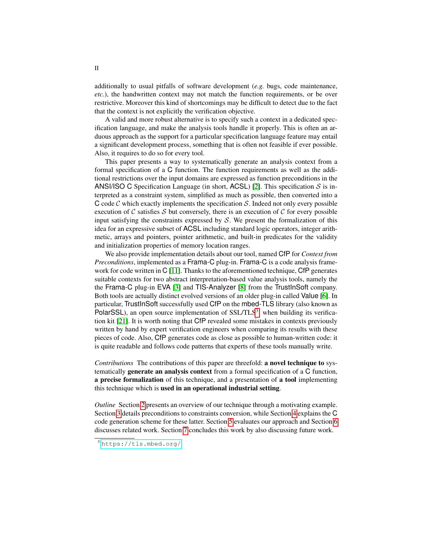additionally to usual pitfalls of software development (*e.g.* bugs, code maintenance, *etc.*), the handwritten context may not match the function requirements, or be over restrictive. Moreover this kind of shortcomings may be difficult to detect due to the fact that the context is not explicitly the verification objective.

A valid and more robust alternative is to specify such a context in a dedicated specification language, and make the analysis tools handle it properly. This is often an arduous approach as the support for a particular specification language feature may entail a significant development process, something that is often not feasible if ever possible. Also, it requires to do so for every tool.

This paper presents a way to systematically generate an analysis context from a formal specification of a C function. The function requirements as well as the additional restrictions over the input domains are expressed as function preconditions in the ANSI/ISO C Specification Language (in short, ACSL) [\[2\]](#page-14-0). This specification  $S$  is interpreted as a constraint system, simplified as much as possible, then converted into a C code C which exactly implements the specification S. Indeed not only every possible execution of  $C$  satisfies  $S$  but conversely, there is an execution of  $C$  for every possible input satisfying the constraints expressed by  $S$ . We present the formalization of this idea for an expressive subset of ACSL including standard logic operators, integer arithmetic, arrays and pointers, pointer arithmetic, and built-in predicates for the validity and initialization properties of memory location ranges.

We also provide implementation details about our tool, named CfP for *Context from Preconditions*, implemented as a Frama-C plug-in. Frama-C is a code analysis frame-work for code written in C [\[11\]](#page-14-1). Thanks to the aforementioned technique, CfP generates suitable contexts for two abstract interpretation-based value analysis tools, namely the the Frama-C plug-in EVA [\[3\]](#page-14-2) and TIS-Analyzer [\[8\]](#page-14-3) from the TrustInSoft company. Both tools are actually distinct evolved versions of an older plug-in called Value [\[6\]](#page-14-4). In particular, TrustInSoft successfully used CfP on the mbed-TLS library (also known as PolarSSL), an open source implementation of  $SSL/TLS<sup>3</sup>$  $SSL/TLS<sup>3</sup>$  $SSL/TLS<sup>3</sup>$ , when building its verification kit [\[21\]](#page-14-5). It is worth noting that CfP revealed some mistakes in contexts previously written by hand by expert verification engineers when comparing its results with these pieces of code. Also, CfP generates code as close as possible to human-written code: it is quite readable and follows code patterns that experts of these tools manually write.

*Contributions* The contributions of this paper are threefold: a novel technique to systematically generate an analysis context from a formal specification of a C function, a precise formalization of this technique, and a presentation of a tool implementing this technique which is used in an operational industrial setting.

*Outline* Section [2](#page-2-0) presents an overview of our technique through a motivating example. Section [3](#page-5-0) details preconditions to constraints conversion, while Section [4](#page-11-0) explains the C code generation scheme for these latter. Section [5](#page-12-0) evaluates our approach and Section [6](#page-13-0) discusses related work. Section [7](#page-13-1) concludes this work by also discussing future work.

<span id="page-1-0"></span><sup>3</sup> <https://tls.mbed.org/>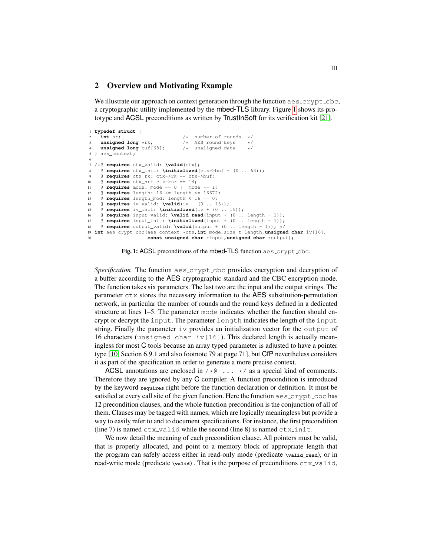## <span id="page-2-0"></span>2 Overview and Motivating Example

We illustrate our approach on context generation through the function aes\_crypt\_cbc, a cryptographic utility implemented by the mbed-TLS library. Figure [1](#page-2-1) shows its prototype and ACSL preconditions as written by TrustInSoft for its verification kit [\[21\]](#page-14-5).

```
1 typedef struct {
    2 int nr; /* number of rounds */
    unsigned long *rk; \frac{1}{2} /* AES round keys unsigned long buf[68]; \frac{1}{2} /* unaligned data
    unsigned long buf[68];
  } aes context;
6
  7 /*@ requires ctx_valid: \valid(ctx);
8 @ requires ctx_init: \initialized(ctx->buf + (0 .. 63));
    9 @ requires ctx_rk: ctx->rk == ctx->buf;
10 @ requires ctx_nr: ctx->nr == 14;
11 @ requires mode: mode == 0 || mode == 1;
12 @ requires length: 16 <= length <= 16672;
13 @ requires length_mod: length % 16 == 0;
14 @ requires iv_valid: \valid(iv + (0 .. 15));
15 @ requires iv_init: \initialized(iv + (0 .. 15));
16 @ requires input_valid: \valid_read(input + (0 .. length - 1));
17 @ requires input_init: \initialized(input + (0 .. length - 1));
18 \theta requires output valid: \valid(output + (0 .. length - 1)); */
19 int aes_crypt_cbc(aes_context *ctx,int mode,size_t length,unsigned char iv[16],
20 const unsigned char *input,unsigned char *output);
```
Fig. 1: ACSL preconditions of the mbed-TLS function aes\_crypt\_cbc.

*Specification* The function aes crypt cbc provides encryption and decryption of a buffer according to the AES cryptographic standard and the CBC encryption mode. The function takes six parameters. The last two are the input and the output strings. The parameter ctx stores the necessary information to the AES substitution-permutation network, in particular the number of rounds and the round keys defined in a dedicated structure at lines 1–5. The parameter mode indicates whether the function should encrypt or decrypt the input. The parameter length indicates the length of the input string. Finally the parameter iv provides an initialization vector for the output of 16 characters (unsigned char iv [16]). This declared length is actually meaningless for most C tools because an array typed parameter is adjusted to have a pointer type [\[10,](#page-14-6) Section 6.9.1 and also footnote 79 at page 71], but CfP nevertheless considers it as part of the specification in order to generate a more precise context.

ACSL annotations are enclosed in  $/ * @ \dots * /$  as a special kind of comments. Therefore they are ignored by any C compiler. A function precondition is introduced by the keyword **requires** right before the function declaration or definition. It must be satisfied at every call site of the given function. Here the function aes\_crypt\_cbc has 12 precondition clauses, and the whole function precondition is the conjunction of all of them. Clauses may be tagged with names, which are logically meaningless but provide a way to easily refer to and to document specifications. For instance, the first precondition (line 7) is named  $ctx$ -valid while the second (line 8) is named  $ctx$ -init.

We now detail the meaning of each precondition clause. All pointers must be valid, that is properly allocated, and point to a memory block of appropriate length that the program can safely access either in read-only mode (predicate **\valid\_read**), or in read-write mode (predicate \valid). That is the purpose of preconditions ctx\_valid,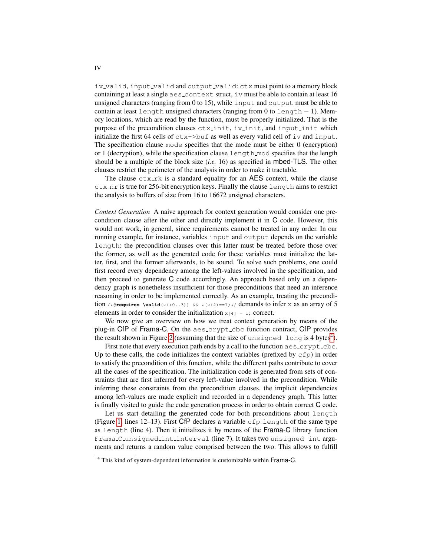iv\_valid, input\_valid and output\_valid: ctx must point to a memory block containing at least a single  $a \in s$  context struct, iv must be able to contain at least 16 unsigned characters (ranging from 0 to 15), while input and output must be able to contain at least length unsigned characters (ranging from 0 to length  $-1$ ). Memory locations, which are read by the function, must be properly initialized. That is the purpose of the precondition clauses ctxinit, ivinit, and input init which initialize the first 64 cells of  $\text{ctx->but}$  as well as every valid cell of  $\text{iv}$  and  $\text{input}$ . The specification clause mode specifies that the mode must be either 0 (encryption) or 1 (decryption), while the specification clause length mod specifies that the length should be a multiple of the block size (*i.e.* 16) as specified in mbed-TLS. The other clauses restrict the perimeter of the analysis in order to make it tractable.

The clause  $ctx$ <sub>rk</sub> is a standard equality for an AES context, while the clause  $ctx$ <sub>nr</sub> is true for 256-bit encryption keys. Finally the clause length aims to restrict the analysis to buffers of size from 16 to 16672 unsigned characters.

*Context Generation* A naive approach for context generation would consider one precondition clause after the other and directly implement it in C code. However, this would not work, in general, since requirements cannot be treated in any order. In our running example, for instance, variables input and output depends on the variable length: the precondition clauses over this latter must be treated before those over the former, as well as the generated code for these variables must initialize the latter, first, and the former afterwards, to be sound. To solve such problems, one could first record every dependency among the left-values involved in the specification, and then proceed to generate C code accordingly. An approach based only on a dependency graph is nonetheless insufficient for those preconditions that need an inference reasoning in order to be implemented correctly. As an example, treating the precondition /\*@**requires** \valid(x+(0..3)) && \*(x+4)==1;\*/ demands to infer x as an array of 5 elements in order to consider the initialization  $x[4] = 1$ ; correct.

We now give an overview on how we treat context generation by means of the plug-in CfP of Frama-C. On the aes\_crypt\_cbc function contract, CfP provides the result shown in Figure [2](#page-4-0) (assuming that the size of  $\mathrm{unsiped}\,$  long is [4](#page-3-0) bytes $^4$ ).

First note that every execution path ends by a call to the function  $a \text{es}$ -crypt-cbc. Up to these calls, the code initializes the context variables (prefixed by  $\text{cfp}$ ) in order to satisfy the precondition of this function, while the different paths contribute to cover all the cases of the specification. The initialization code is generated from sets of constraints that are first inferred for every left-value involved in the precondition. While inferring these constraints from the precondition clauses, the implicit dependencies among left-values are made explicit and recorded in a dependency graph. This latter is finally visited to guide the code generation process in order to obtain correct C code.

Let us start detailing the generated code for both preconditions about length (Figure [1,](#page-2-1) lines 12–13). First CfP declares a variable  $\epsilon$  fp-length of the same type as length (line 4). Then it initializes it by means of the Frama-C library function Frama C unsigned int interval (line 7). It takes two unsigned int arguments and returns a random value comprised between the two. This allows to fulfill

<span id="page-3-0"></span><sup>4</sup> This kind of system-dependent information is customizable within Frama-C.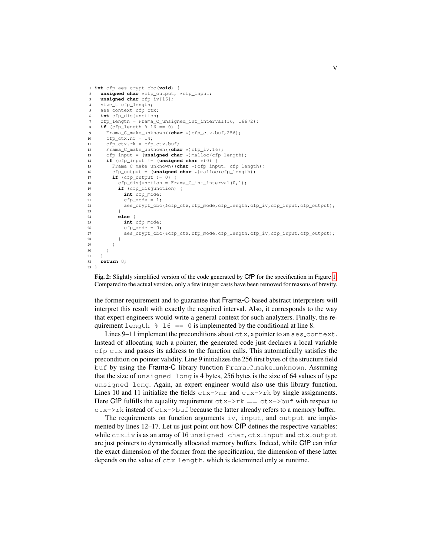```
1 int cfp_aes_crypt_cbc(void) {
2 unsigned char *cfp output, *cfp input;
3 unsigned char cfp_iv[16];
     size_t cfp_length;
5 aes context cfp ctx;
6 int cfp_disjunction;
     cfp_length = Frama_C_unsigned_int_interval(16, 16672);
8 if (cfp_length % 16 == 0) {
9 Frama_C_make_unknown((char *)cfp_ctx.buf,256);
       cfp ctx.nr = 14;11 cfp_ctx.rk = cfp_ctx.buf;
12 Frama_C_make_unknown((char *)cfp_iv,16);
13 cfp_input = (unsigned char *)malloc(cfp_length);<br>14 if (cfp input != (unsigned char *)0) {
14 if (cfp_input != (unsigned char *) 0) {<br>15 Frama_C_make_unknown((char *) cfp_inp
15 Frama<sub>_</sub>C_make_unknown((char *)cfp_input, cfp_length);<br>16 cfp output = (unsiqned char *)malloc(cfp length);
16 cfp_output = (unsigned char *)malloc(cfp_length);<br>17 if (cfp_output != 0) {
         if (cfp_output != 0)18 cfp_disjunction = Frama_C_int_interval(0,1);
19 if (cfp_disjunction) {
20 int cfp_mode;
21 cfp_mode = 1;
22 aes_crypt_cbc(&cfp_ctx,cfp_mode,cfp_length,cfp_iv,cfp_input,cfp_output);
23 }
24 else {
25 int cfp mode:
26 cfp_mode = 0;
27 aes_crypt_cbc(&cfp_ctx,cfp_mode,cfp_length,cfp_iv,cfp_input,cfp_output);
28 }
\begin{array}{ccc}\n 29 & & & \end{array}
\begin{array}{ccc}\n 30 & & & \end{array}\overline{3}\frac{31}{32}32 return 0;
33 }
```
Fig. 2: Slightly simplified version of the code generated by CfP for the specification in Figure [1.](#page-2-1) Compared to the actual version, only a few integer casts have been removed for reasons of brevity.

the former requirement and to guarantee that Frama-C-based abstract interpreters will interpret this result with exactly the required interval. Also, it corresponds to the way that expert engineers would write a general context for such analyzers. Finally, the requirement length  $\frac{1}{6}$  == 0 is implemented by the conditional at line 8.

Lines 9–11 implement the preconditions about  $\text{ctx}, a$  pointer to an  $\text{aes\_context}$ . Instead of allocating such a pointer, the generated code just declares a local variable cfp ctx and passes its address to the function calls. This automatically satisfies the precondition on pointer validity. Line 9 initializes the 256 first bytes of the structure field buf by using the Frama-C library function Frama<sub>-C</sub> make unknown. Assuming that the size of unsigned long is 4 bytes, 256 bytes is the size of 64 values of type unsigned long. Again, an expert engineer would also use this library function. Lines 10 and 11 initialize the fields  $ctx$ ->nr and  $ctx$ ->rk by single assignments. Here CfP fulfills the equality requirement  $ctx$ ->rk ==  $ctx$ ->buf with respect to ctx->rk instead of ctx->buf because the latter already refers to a memory buffer.

The requirements on function arguments  $iv$ , input, and output are implemented by lines 12–17. Let us just point out how CfP defines the respective variables: while  $ctx$  iv is as an array of 16 unsigned char,  $ctx$  input and  $ctx$  output are just pointers to dynamically allocated memory buffers. Indeed, while CfP can infer the exact dimension of the former from the specification, the dimension of these latter depends on the value of ctx length, which is determined only at runtime.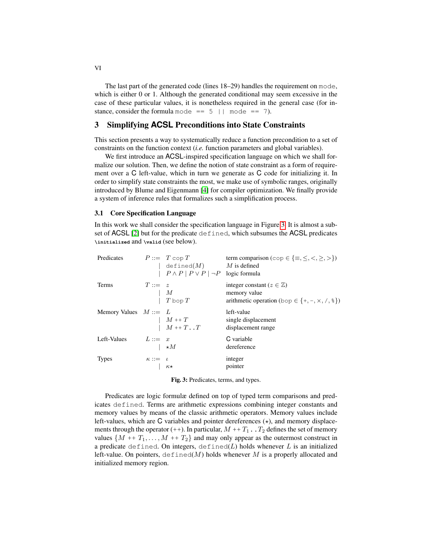The last part of the generated code (lines 18–29) handles the requirement on mode, which is either 0 or 1. Although the generated conditional may seem excessive in the case of these particular values, it is nonetheless required in the general case (for instance, consider the formula mode ==  $5$  || mode == 7).

# <span id="page-5-0"></span>3 Simplifying **ACSL** Preconditions into State Constraints

This section presents a way to systematically reduce a function precondition to a set of constraints on the function context (*i.e.* function parameters and global variables).

We first introduce an ACSL-inspired specification language on which we shall formalize our solution. Then, we define the notion of state constraint as a form of requirement over a C left-value, which in turn we generate as C code for initializing it. In order to simplify state constraints the most, we make use of symbolic ranges, originally introduced by Blume and Eigenmann [\[4\]](#page-14-7) for compiler optimization. We finally provide a system of inference rules that formalizes such a simplification process.

## 3.1 Core Specification Language

In this work we shall consider the specification language in Figure [3.](#page-5-1) It is almost a subset of ACSL [\[2\]](#page-14-0) but for the predicate defined, which subsumes the ACSL predicates **\initialized** and **\valid** (see below).

<span id="page-5-1"></span>

| Predicates              |                                                                              | $P ::= T \text{ cop } T$<br>$\left  \begin{array}{cc} \text{defined}(M) & M \text{ is defined} \\ \mid P \wedge P \mid P \vee P \mid \neg P & \text{logic formula} \end{array} \right $ | term comparison (cop $\in \{\equiv, \leq, \leq, >, >\}$ )                                                              |
|-------------------------|------------------------------------------------------------------------------|-----------------------------------------------------------------------------------------------------------------------------------------------------------------------------------------|------------------------------------------------------------------------------------------------------------------------|
| Terms                   | $T ::= z$                                                                    | $\begin{array}{cc} & M \\ & T \text{ loop } T \end{array}$                                                                                                                              | integer constant ( $z \in \mathbb{Z}$ )<br>memory value<br>arithmetic operation (bop $\in \{+, -, \times, /, \{\}\}$ ) |
| Memory Values $M ::= L$ |                                                                              | $\begin{array}{ll} & M \, \ast\!\!\!\!\!+ \, T \\ & \mid\!\!\!\!- M \, \ast\!\!\!\!\!+ \, T \mathop{\scriptstyle \bullet}\nolimits\!\!\!\! - \, . \, T \end{array}$                     | left-value<br>single displacement<br>displacement range                                                                |
| Left-Values             | $L ::= x$                                                                    | $\rightarrow M$                                                                                                                                                                         | C variable<br>dereference                                                                                              |
| <b>Types</b>            | $\begin{array}{ccc}\n\kappa ::=& \iota\\ \n& &   & \kappa\star\n\end{array}$ |                                                                                                                                                                                         | integer<br>pointer                                                                                                     |

Fig. 3: Predicates, terms, and types.

Predicates are logic formulæ defined on top of typed term comparisons and predicates defined. Terms are arithmetic expressions combining integer constants and memory values by means of the classic arithmetic operators. Memory values include left-values, which are C variables and pointer dereferences  $(\star)$ , and memory displacements through the operator (++). In particular,  $M + T_1$ . T<sub>2</sub> defines the set of memory values  $\{M + T_1, \ldots, M + T_2\}$  and may only appear as the outermost construct in a predicate defined. On integers, defined( $L$ ) holds whenever  $L$  is an initialized left-value. On pointers,  $\det(M)$  holds whenever M is a properly allocated and initialized memory region.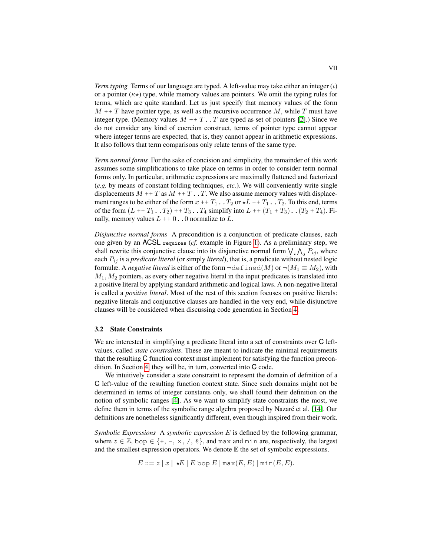*Term typing* Terms of our language are typed. A left-value may take either an integer  $(\iota)$ or a pointer  $(\kappa \star)$  type, while memory values are pointers. We omit the typing rules for terms, which are quite standard. Let us just specify that memory values of the form  $M + T$  have pointer type, as well as the recursive occurrence M, while T must have integer type. (Memory values  $M + T$ . T are typed as set of pointers [\[2\]](#page-14-0).) Since we do not consider any kind of coercion construct, terms of pointer type cannot appear where integer terms are expected, that is, they cannot appear in arithmetic expressions. It also follows that term comparisons only relate terms of the same type.

*Term normal forms* For the sake of concision and simplicity, the remainder of this work assumes some simplifications to take place on terms in order to consider term normal forms only. In particular, arithmetic expressions are maximally flattened and factorized (*e.g.* by means of constant folding techniques, *etc.*). We will conveniently write single displacements  $M + T$  as  $M + T$ . T. We also assume memory values with displacement ranges to be either of the form  $x + T_1 \cdot T_2$  or  $\star L + T_1 \cdot T_2$ . To this end, terms of the form  $(L + T_1 \cdot T_2) + T_3 \cdot T_4$  simplify into  $L + (T_1 + T_3) \cdot (T_2 + T_4)$ . Finally, memory values  $L + 0$ . 0 normalize to L.

*Disjunctive normal forms* A precondition is a conjunction of predicate clauses, each one given by an ACSL **requires** (*cf.* example in Figure [1\)](#page-2-1). As a preliminary step, we shall rewrite this conjunctive clause into its disjunctive normal form  $\bigvee_i \bigwedge_j P_{ij}$ , where each  $P_{ij}$  is a *predicate literal* (or simply *literal*), that is, a predicate without nested logic formulæ. A *negative literal* is either of the form  $\neg \text{defined}(M)$  or  $\neg (M_1 \equiv M_2)$ , with  $M_1, M_2$  pointers, as every other negative literal in the input predicates is translated into a positive literal by applying standard arithmetic and logical laws. A non-negative literal is called a *positive literal*. Most of the rest of this section focuses on positive literals: negative literals and conjunctive clauses are handled in the very end, while disjunctive clauses will be considered when discussing code generation in Section [4.](#page-11-0)

#### 3.2 State Constraints

We are interested in simplifying a predicate literal into a set of constraints over C leftvalues, called *state constraints*. These are meant to indicate the minimal requirements that the resulting C function context must implement for satisfying the function precondition. In Section [4,](#page-11-0) they will be, in turn, converted into C code.

We intuitively consider a state constraint to represent the domain of definition of a C left-value of the resulting function context state. Since such domains might not be determined in terms of integer constants only, we shall found their definition on the notion of symbolic ranges [\[4\]](#page-14-7). As we want to simplify state constraints the most, we define them in terms of the symbolic range algebra proposed by Nazaré et al. [\[14\]](#page-14-8). Our definitions are nonetheless significantly different, even though inspired from their work.

*Symbolic Expressions* A *symbolic expression* E is defined by the following grammar, where  $z \in \mathbb{Z}$ , bop  $\in \{+, -, \times, /, \frac{1}{2}\}$ , and max and min are, respectively, the largest and the smallest expression operators. We denote  $E$  the set of symbolic expressions.

 $E ::= z | x | \star E | E$  bop  $E | max(E, E) | min(E, E).$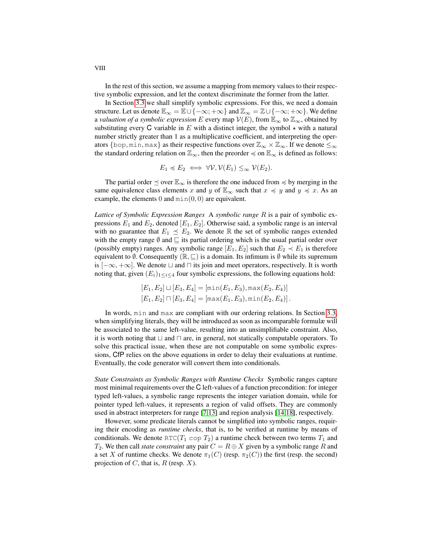In the rest of this section, we assume a mapping from memory values to their respective symbolic expression, and let the context discriminate the former from the latter.

In Section [3.3](#page-8-0) we shall simplify symbolic expressions. For this, we need a domain structure. Let us denote  $\mathbb{E}_{\infty} = \mathbb{E} \cup \{-\infty; +\infty\}$  and  $\mathbb{Z}_{\infty} = \mathbb{Z} \cup \{-\infty; +\infty\}$ . We define a *valuation of a symbolic expression* E every map  $V(E)$ , from  $\mathbb{E}_{\infty}$  to  $\mathbb{Z}_{\infty}$ , obtained by substituting every C variable in E with a distinct integer, the symbol  $\star$  with a natural number strictly greater than 1 as a multiplicative coefficient, and interpreting the operators {bop, min, max} as their respective functions over  $\mathbb{Z}_{\infty}\times\mathbb{Z}_{\infty}$ . If we denote  $\leq_{\infty}$ the standard ordering relation on  $\mathbb{Z}_{\infty}$ , then the preorder  $\preccurlyeq$  on  $\mathbb{E}_{\infty}$  is defined as follows:

$$
E_1 \preccurlyeq E_2 \iff \forall \mathcal{V}, \mathcal{V}(E_1) \leq_\infty \mathcal{V}(E_2).
$$

The partial order  $\leq$  over  $\mathbb{E}_{\infty}$  is therefore the one induced from  $\preccurlyeq$  by merging in the same equivalence class elements x and y of  $\mathbb{E}_{\infty}$  such that  $x \preccurlyeq y$  and  $y \preccurlyeq x$ . As an example, the elements  $0$  and  $min(0, 0)$  are equivalent.

*Lattice of Symbolic Expression Ranges* A *symbolic range* R is a pair of symbolic expressions  $E_1$  and  $E_2$ , denoted  $[E_1, E_2]$ . Otherwise said, a symbolic range is an interval with no guarantee that  $E_1 \preceq E_2$ . We denote R the set of symbolic ranges extended with the empty range  $\emptyset$  and  $\sqsubseteq$  its partial ordering which is the usual partial order over (possibly empty) ranges. Any symbolic range  $[E_1, E_2]$  such that  $E_2 \prec E_1$  is therefore equivalent to  $\emptyset$ . Consequently  $(\mathbb{R}, \subseteq)$  is a domain. Its infimum is  $\emptyset$  while its supremum is  $[-\infty, +\infty]$ . We denote  $\sqcup$  and  $\sqcap$  its join and meet operators, respectively. It is worth noting that, given  $(E_i)_{1 \leq i \leq 4}$  four symbolic expressions, the following equations hold:

$$
[E_1, E_2] \sqcup [E_3, E_4] = [\min(E_1, E_3), \max(E_2, E_4)]
$$
  

$$
[E_1, E_2] \sqcap [E_3, E_4] = [\max(E_1, E_3), \min(E_2, E_4)].
$$

In words, min and max are compliant with our ordering relations. In Section [3.3,](#page-8-0) when simplifying literals, they will be introduced as soon as incomparable formulæ will be associated to the same left-value, resulting into an unsimplifiable constraint. Also, it is worth noting that  $\Box$  and  $\Box$  are, in general, not statically computable operators. To solve this practical issue, when these are not computable on some symbolic expressions, CfP relies on the above equations in order to delay their evaluations at runtime. Eventually, the code generator will convert them into conditionals.

*State Constraints as Symbolic Ranges with Runtime Checks* Symbolic ranges capture most minimal requirements over the C left-values of a function precondition: for integer typed left-values, a symbolic range represents the integer variation domain, while for pointer typed left-values, it represents a region of valid offsets. They are commonly used in abstract interpreters for range [\[7,](#page-14-9)[13\]](#page-14-10) and region analysis [\[14](#page-14-8)[,18\]](#page-14-11), respectively.

However, some predicate literals cannot be simplified into symbolic ranges, requiring their encoding as *runtime checks*, that is, to be verified at runtime by means of conditionals. We denote RTC( $T_1$  cop  $T_2$ ) a runtime check between two terms  $T_1$  and  $T_2$ . We then call *state constraint* any pair  $C = R \oplus X$  given by a symbolic range R and a set X of runtime checks. We denote  $\pi_1(C)$  (resp.  $\pi_2(C)$ ) the first (resp. the second) projection of  $C$ , that is,  $R$  (resp.  $X$ ).

VIII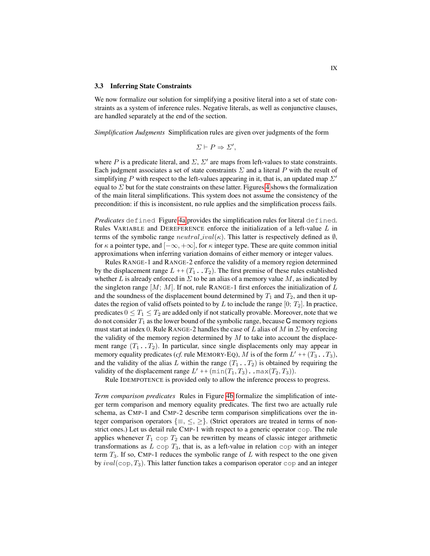#### <span id="page-8-0"></span>3.3 Inferring State Constraints

We now formalize our solution for simplifying a positive literal into a set of state constraints as a system of inference rules. Negative literals, as well as conjunctive clauses, are handled separately at the end of the section.

*Simplification Judgments* Simplification rules are given over judgments of the form

$$
\Sigma \vdash P \Rightarrow \Sigma',
$$

where P is a predicate literal, and  $\Sigma$ ,  $\Sigma'$  are maps from left-values to state constraints. Each judgment associates a set of state constraints  $\Sigma$  and a literal P with the result of simplifying P with respect to the left-values appearing in it, that is, an updated map  $\Sigma'$ equal to  $\Sigma$  but for the state constraints on these latter. Figures [4](#page-9-0) shows the formalization of the main literal simplifications. This system does not assume the consistency of the precondition: if this is inconsistent, no rule applies and the simplification process fails.

*Predicates* defined Figure [4a](#page-9-0) provides the simplification rules for literal defined. Rules VARIABLE and DEREFERENCE enforce the initialization of a left-value L in terms of the symbolic range  $neutral\_ival(\kappa)$ . This latter is respectively defined as  $\emptyset$ , for  $\kappa$  a pointer type, and  $[-\infty, +\infty]$ , for  $\kappa$  integer type. These are quite common initial approximations when inferring variation domains of either memory or integer values.

Rules RANGE-1 and RANGE-2 enforce the validity of a memory region determined by the displacement range  $L + (T_1 \cdot T_2)$ . The first premise of these rules established whether L is already enforced in  $\Sigma$  to be an alias of a memory value M, as indicated by the singleton range  $[M; M]$ . If not, rule RANGE-1 first enforces the initialization of L and the soundness of the displacement bound determined by  $T_1$  and  $T_2$ , and then it updates the region of valid offsets pointed to by L to include the range  $[0; T_2]$ . In practice, predicates  $0 \leq T_1 \leq T_2$  are added only if not statically provable. Moreover, note that we do not consider  $T_1$  as the lower bound of the symbolic range, because C memory regions must start at index 0. Rule RANGE-2 handles the case of L alias of M in  $\Sigma$  by enforcing the validity of the memory region determined by  $M$  to take into account the displacement range  $(T_1 \tcdot T_2)$ . In particular, since single displacements only may appear in memory equality predicates (*cf.* rule MEMORY-EQ), M is of the form  $L' + (T_3 \cdot, T_3)$ , and the validity of the alias L within the range  $(T_1 \cdot, T_2)$  is obtained by requiring the validity of the displacement range  $L' + (min(T_1, T_3) \cdot .max(T_2, T_3)).$ 

Rule IDEMPOTENCE is provided only to allow the inference process to progress.

*Term comparison predicates* Rules in Figure [4b](#page-9-0) formalize the simplification of integer term comparison and memory equality predicates. The first two are actually rule schema, as CMP-1 and CMP-2 describe term comparison simplifications over the integer comparison operators  $\{\equiv,\leq,\geq\}$ . (Strict operators are treated in terms of nonstrict ones.) Let us detail rule CMP-1 with respect to a generic operator cop. The rule applies whenever  $T_1$  cop  $T_2$  can be rewritten by means of classic integer arithmetic transformations as  $L \text{ cop } T_3$ , that is, as a left-value in relation cop with an integer term  $T_3$ . If so, CMP-1 reduces the symbolic range of L with respect to the one given by  $ival(\text{cop}, T_3)$ . This latter function takes a comparison operator cop and an integer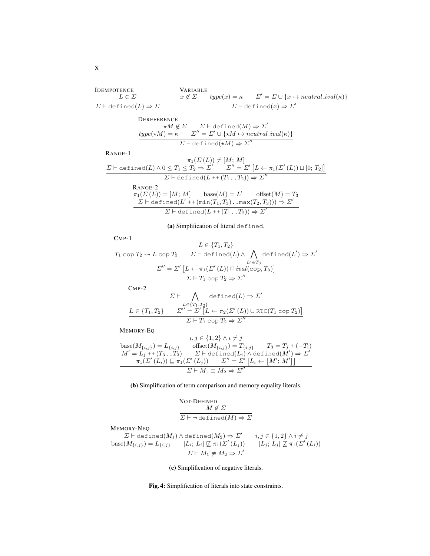<span id="page-9-0"></span>IDEMPOTENCE  $L \in \varSigma$  $\overline{\Sigma \vdash \text{defined}(L) \Rightarrow \Sigma}$ VARIABLE  $x \notin \Sigma$  $x \notin \Sigma$   $type(x) = \kappa$   $\Sigma' = \Sigma \cup \{x \mapsto neutral\_ival(\kappa)\}\$  $\overline{\Sigma \vdash \text{defined}(x) \Rightarrow \Sigma'}$ **DEREFERENCE**  $\star M \not\in \Sigma$   $\Sigma \vdash \det \text{ined}(M) \Rightarrow \Sigma'$  $type(\star M) = \kappa$   $\Sigma'' = \Sigma' \cup {\star M \mapsto neutral\_ival(\kappa)}$  $\Sigma \vdash \texttt{defined}(\star M) \Rightarrow \Sigma''$ 

RANGE-1

$$
\pi_1(\Sigma(L)) \neq [M; M]
$$
\n
$$
\Sigma \vdash \text{defined}(L) \land 0 \leq T_1 \leq T_2 \Rightarrow \Sigma' \quad \Sigma'' = \Sigma' [L \leftarrow \pi_1(\Sigma'(L)) \sqcup [0; T_2]]
$$
\n
$$
\Sigma \vdash \text{defined}(L + (T_1 \dots T_2)) \Rightarrow \Sigma''
$$
\nRange-2

\n
$$
\pi_1(\Sigma(L)) = [M; M] \quad \text{base}(M) = L' \quad \text{offset}(M) = T_3
$$
\n
$$
\Sigma \vdash \text{defined}(L' + (\min(T_1, T_3) \dots \max(T_2, T_3))) \Rightarrow \Sigma'
$$
\n
$$
\Sigma \vdash \text{defined}(L + (T_1 \dots T_2)) \Rightarrow \Sigma'
$$

(a) Simplification of literal defined.

CMP-1

$$
L \in \{T_1, T_2\}
$$
  
\n
$$
T_1 \text{ cop } T_2 \rightsquigarrow L \text{ cop } T_3
$$
  
\n
$$
\Sigma^{\prime\prime} = \Sigma^{\prime} \left[L \leftarrow \pi_1(\Sigma^{\prime}(L)) \sqcap ival(\text{cop}, T_3)\right]
$$
  
\n
$$
\Sigma^{\prime\prime} = \Sigma^{\prime} \left[L \leftarrow \pi_1(\Sigma^{\prime}(L)) \sqcap ival(\text{cop}, T_3)\right]
$$
  
\n
$$
\Sigma \vdash T_1 \text{ cop } T_2 \Rightarrow \Sigma^{\prime\prime}
$$

CMP-2

$$
\Sigma \vdash \bigwedge_{L \in \{T_1, T_2\}} \text{defined}(L) \Rightarrow \Sigma'
$$
\n
$$
\frac{L \in \{T_1, T_2\}}{\Sigma'' = \Sigma' \left[L \leftarrow \pi_2(\Sigma'(L)) \cup \text{RTC}(T_1 \text{ cop } T_2)\right]}{\Sigma \vdash T_1 \text{ cop } T_2 \Rightarrow \Sigma''}
$$

MEMORY-EQ

$$
i, j \in \{1, 2\} \land i \neq j
$$
  
\n
$$
base(M_{\{i,j\}}) = L_{\{i,j\}} \qquad \text{offset}(M_{\{i,j\}}) = T_{\{i,j\}} \qquad T_3 = T_j + (-T_i)
$$
  
\n
$$
M' = L_j + (T_3 \cdot T_3) \qquad \Sigma \vdash \text{defined}(L_i) \land \text{defined}(M') \Rightarrow \Sigma'
$$
  
\n
$$
\pi_1(\Sigma'(L_i)) \sqsubseteq \pi_1(\Sigma'(L_j)) \qquad \Sigma'' = \Sigma' [L_i \leftarrow [M'; M']]
$$
  
\n
$$
\Sigma \vdash M_1 \equiv M_2 \Rightarrow \Sigma''
$$

(b) Simplification of term comparison and memory equality literals.

$$
\begin{array}{l} \text{NOT-DEFINED} \\ \hline M \not\in \varSigma \\ \hline \varSigma \vdash \neg \, \text{defined}(M) \Rightarrow \varSigma \end{array}
$$

MEMORY-NEQ

$$
\sum \vdash \text{defined}(M_1) \land \text{defined}(M_2) \Rightarrow \Sigma' \qquad i, j \in \{1, 2\} \land i \neq j
$$
\n
$$
\text{base}(M_{\{i,j\}}) = L_{\{i,j\}} \qquad [L_i; L_i] \not\sqsubseteq \pi_1(\Sigma'(L_j)) \qquad [L_j; L_j] \not\sqsubseteq \pi_1(\Sigma'(L_i))
$$
\n
$$
\Sigma \vdash M_1 \neq M_2 \Rightarrow \Sigma'
$$

(c) Simplification of negative literals.

Fig. 4: Simplification of literals into state constraints.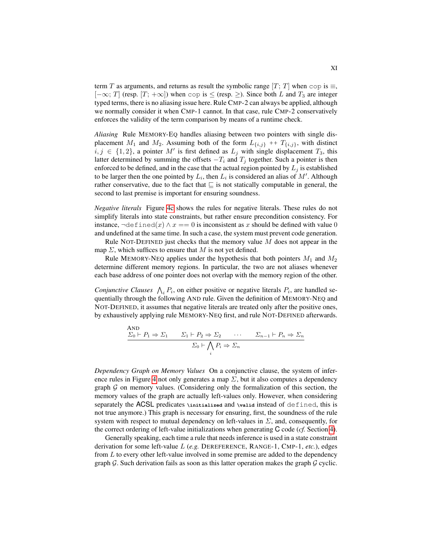term T as arguments, and returns as result the symbolic range  $[T; T]$  when cop is  $\equiv$ ,  $[-\infty; T]$  (resp.  $[T; +\infty]$ ) when cop is  $\le$  (resp.  $\ge$ ). Since both L and  $T_3$  are integer typed terms, there is no aliasing issue here. Rule CMP-2 can always be applied, although we normally consider it when CMP-1 cannot. In that case, rule CMP-2 conservatively enforces the validity of the term comparison by means of a runtime check.

*Aliasing* Rule MEMORY-EQ handles aliasing between two pointers with single displacement  $M_1$  and  $M_2$ . Assuming both of the form  $L_{\{i,j\}}$  ++  $T_{\{i,j\}}$ , with distinct  $i, j \in \{1, 2\}$ , a pointer M' is first defined as  $L_j$  with single displacement  $T_3$ , this latter determined by summing the offsets  $-T_i$  and  $T_j$  together. Such a pointer is then enforced to be defined, and in the case that the actual region pointed by  $L_i$  is established to be larger then the one pointed by  $L_i$ , then  $L_i$  is considered an alias of  $M'$ . Although rather conservative, due to the fact that  $\subseteq$  is not statically computable in general, the second to last premise is important for ensuring soundness.

*Negative literals* Figure [4c](#page-9-0) shows the rules for negative literals. These rules do not simplify literals into state constraints, but rather ensure precondition consistency. For instance,  $\neg \text{defined}(x) \land x == 0$  is inconsistent as x should be defined with value 0 and undefined at the same time. In such a case, the system must prevent code generation.

Rule NOT-DEFINED just checks that the memory value  $M$  does not appear in the map  $\Sigma$ , which suffices to ensure that M is not yet defined.

Rule MEMORY-NEQ applies under the hypothesis that both pointers  $M_1$  and  $M_2$ determine different memory regions. In particular, the two are not aliases whenever each base address of one pointer does not overlap with the memory region of the other.

*Conjunctive Clauses*  $\bigwedge_i P_i$ , on either positive or negative literals  $P_i$ , are handled sequentially through the following AND rule. Given the definition of MEMORY-NEQ and NOT-DEFINED, it assumes that negative literals are treated only after the positive ones, by exhaustively applying rule MEMORY-NEQ first, and rule NOT-DEFINED afterwards.

AND  
\n
$$
\frac{\Sigma_0 \vdash P_1 \Rightarrow \Sigma_1 \qquad \Sigma_1 \vdash P_2 \Rightarrow \Sigma_2 \qquad \cdots \qquad \Sigma_{n-1} \vdash P_n \Rightarrow \Sigma_n}{\Sigma_0 \vdash \bigwedge_i P_i \Rightarrow \Sigma_n}
$$

*Dependency Graph on Memory Values* On a conjunctive clause, the system of infer-ence rules in Figure [4](#page-9-0) not only generates a map  $\Sigma$ , but it also computes a dependency graph  $G$  on memory values. (Considering only the formalization of this section, the memory values of the graph are actually left-values only. However, when considering separately the ACSL predicates **\initialized** and **\valid** instead of defined, this is not true anymore.) This graph is necessary for ensuring, first, the soundness of the rule system with respect to mutual dependency on left-values in  $\Sigma$ , and, consequently, for the correct ordering of left-value initializations when generating C code (*cf.* Section [4\)](#page-11-0).

Generally speaking, each time a rule that needs inference is used in a state constraint derivation for some left-value L (*e.g.* DEREFERENCE, RANGE-1, CMP-1, *etc.*), edges from  $L$  to every other left-value involved in some premise are added to the dependency graph  $G$ . Such derivation fails as soon as this latter operation makes the graph  $G$  cyclic.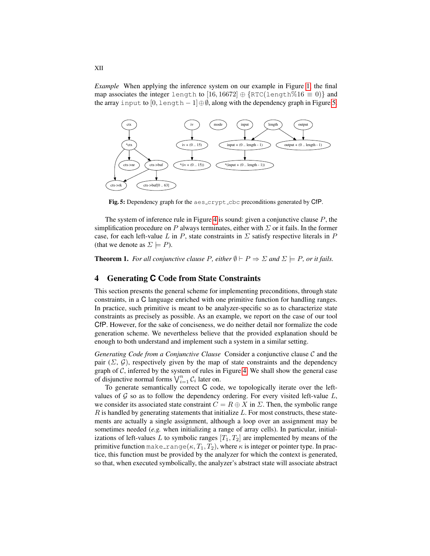*Example* When applying the inference system on our example in Figure [1,](#page-2-1) the final map associates the integer length to [16, 16672]  $\oplus$  {RTC(length%16  $\equiv$  0)} and the array input to  $[0, \text{length} - 1] \oplus \emptyset$ , along with the dependency graph in Figure [5.](#page-11-1)

<span id="page-11-1"></span>

Fig. 5: Dependency graph for the aes\_crypt\_cbc preconditions generated by CfP.

The system of inference rule in Figure [4](#page-9-0) is sound: given a conjunctive clause  $P$ , the simplification procedure on P always terminates, either with  $\Sigma$  or it fails. In the former case, for each left-value L in P, state constraints in  $\Sigma$  satisfy respective literals in P (that we denote as  $\Sigma \models P$ ).

**Theorem 1.** *For all conjunctive clause P*, *either*  $\emptyset \vdash P \Rightarrow \Sigma$  *and*  $\Sigma \models P$ , *or it fails.* 

# <span id="page-11-0"></span>4 Generating **C** Code from State Constraints

This section presents the general scheme for implementing preconditions, through state constraints, in a C language enriched with one primitive function for handling ranges. In practice, such primitive is meant to be analyzer-specific so as to characterize state constraints as precisely as possible. As an example, we report on the case of our tool CfP. However, for the sake of conciseness, we do neither detail nor formalize the code generation scheme. We nevertheless believe that the provided explanation should be enough to both understand and implement such a system in a similar setting.

*Generating Code from a Conjunctive Clause* Consider a conjunctive clause C and the pair  $(\Sigma, \mathcal{G})$ , respectively given by the map of state constraints and the dependency graph of  $C$ , inferred by the system of rules in Figure [4.](#page-9-0) We shall show the general case of disjunctive normal forms  $\bigvee_{i=1}^{n} C_i$  later on.

To generate semantically correct C code, we topologically iterate over the leftvalues of  $\mathcal G$  so as to follow the dependency ordering. For every visited left-value  $L$ , we consider its associated state constraint  $C = R \oplus X$  in  $\Sigma$ . Then, the symbolic range  $R$  is handled by generating statements that initialize  $L$ . For most constructs, these statements are actually a single assignment, although a loop over an assignment may be sometimes needed (*e.g.* when initializing a range of array cells). In particular, initializations of left-values L to symbolic ranges  $[T_1, T_2]$  are implemented by means of the primitive function make range( $\kappa$ ,  $T_1$ ,  $T_2$ ), where  $\kappa$  is integer or pointer type. In practice, this function must be provided by the analyzer for which the context is generated, so that, when executed symbolically, the analyzer's abstract state will associate abstract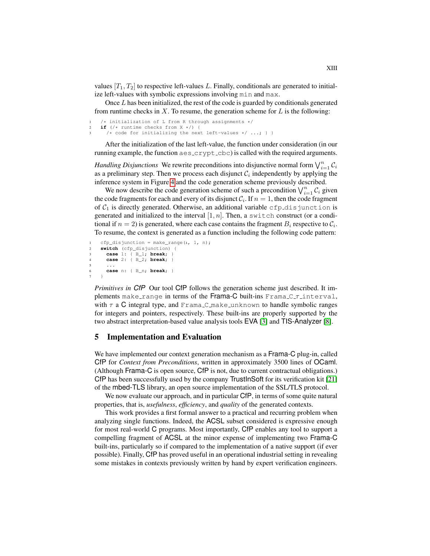values  $[T_1, T_2]$  to respective left-values L. Finally, conditionals are generated to initialize left-values with symbolic expressions involving min and max.

Once  $L$  has been initialized, the rest of the code is guarded by conditionals generated from runtime checks in  $X$ . To resume, the generation scheme for  $L$  is the following:

```
1 /* initialization of L from R through assignments */<br>2 if (1 + \text{runtime check from X + 1})if (/* runtime checks from X */) {
       /* code for initializing the next left-values */ ...; } }
```
After the initialization of the last left-value, the function under consideration (in our running example, the function aes\_crypt\_cbc) is called with the required arguments.

*Handling Disjunctions* We rewrite preconditions into disjunctive normal form  $\bigvee_{i=1}^{n} C_i$ as a preliminary step. Then we process each disjunct  $\mathcal{C}_i$  independently by applying the inference system in Figure [4](#page-9-0) and the code generation scheme previously described.

We now describe the code generation scheme of such a precondition  $\bigvee_{i=1}^{n} C_i$  given the code fragments for each and every of its disjunct  $C_i$ . If  $n = 1$ , then the code fragment of  $C_1$  is directly generated. Otherwise, an additional variable cfp disjunction is generated and initialized to the interval  $[1, n]$ . Then, a switch construct (or a conditional if  $n = 2$ ) is generated, where each case contains the fragment  $B_i$  respective to  $C_i$ . To resume, the context is generated as a function including the following code pattern:

```
cfp\_disjunction = make\_range(\iota, 1, n);2 switch (cfp_disjunction) {
3 case 1: { B_1; break; }
       4 case 2: { B_2; break; }
5 \qquad \ldots6 case n: { B_n; break; }
7 }
```
*Primitives in CfP* Our tool CfP follows the generation scheme just described. It implements make range in terms of the Frama-C built-ins Frama-C<sub>T</sub> interval, with  $\tau$  a C integral type, and Frama C make unknown to handle symbolic ranges for integers and pointers, respectively. These built-ins are properly supported by the two abstract interpretation-based value analysis tools EVA [\[3\]](#page-14-2) and TIS-Analyzer [\[8\]](#page-14-3).

# <span id="page-12-0"></span>5 Implementation and Evaluation

We have implemented our context generation mechanism as a Frama-C plug-in, called CfP for *Context from Preconditions*, written in approximately 3500 lines of OCaml. (Although Frama-C is open source, CfP is not, due to current contractual obligations.) CfP has been successfully used by the company TrustInSoft for its verification kit [\[21\]](#page-14-5) of the mbed-TLS library, an open source implementation of the SSL/TLS protocol.

We now evaluate our approach, and in particular CfP, in terms of some quite natural properties, that is, *usefulness*, *efficiency*, and *quality* of the generated contexts.

This work provides a first formal answer to a practical and recurring problem when analyzing single functions. Indeed, the ACSL subset considered is expressive enough for most real-world C programs. Most importantly, CfP enables any tool to support a compelling fragment of ACSL at the minor expense of implementing two Frama-C built-ins, particularly so if compared to the implementation of a native support (if ever possible). Finally, CfP has proved useful in an operational industrial setting in revealing some mistakes in contexts previously written by hand by expert verification engineers.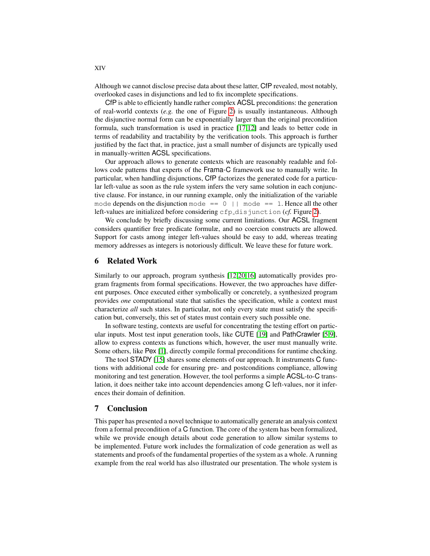Although we cannot disclose precise data about these latter, CfP revealed, most notably, overlooked cases in disjunctions and led to fix incomplete specifications.

CfP is able to efficiently handle rather complex ACSL preconditions: the generation of real-world contexts (*e.g.* the one of Figure [2\)](#page-4-0) is usually instantaneous. Although the disjunctive normal form can be exponentially larger than the original precondition formula, such transformation is used in practice [\[17](#page-14-12)[,12\]](#page-14-13) and leads to better code in terms of readability and tractability by the verification tools. This approach is further justified by the fact that, in practice, just a small number of disjuncts are typically used in manually-written ACSL specifications.

Our approach allows to generate contexts which are reasonably readable and follows code patterns that experts of the Frama-C framework use to manually write. In particular, when handling disjunctions, CfP factorizes the generated code for a particular left-value as soon as the rule system infers the very same solution in each conjunctive clause. For instance, in our running example, only the initialization of the variable mode depends on the disjunction mode  $== 0$  || mode  $== 1$ . Hence all the other left-values are initialized before considering cfp disjunction (*cf.* Figure [2\)](#page-4-0).

We conclude by briefly discussing some current limitations. Our ACSL fragment considers quantifier free predicate formulæ, and no coercion constructs are allowed. Support for casts among integer left-values should be easy to add, whereas treating memory addresses as integers is notoriously difficult. We leave these for future work.

## <span id="page-13-0"></span>6 Related Work

Similarly to our approach, program synthesis [\[12,](#page-14-13)[20,](#page-14-14)[16\]](#page-14-15) automatically provides program fragments from formal specifications. However, the two approaches have different purposes. Once executed either symbolically or concretely, a synthesized program provides *one* computational state that satisfies the specification, while a context must characterize *all* such states. In particular, not only every state must satisfy the specification but, conversely, this set of states must contain every such possible one.

In software testing, contexts are useful for concentrating the testing effort on particular inputs. Most test input generation tools, like CUTE [\[19\]](#page-14-16) and PathCrawler [\[5](#page-14-17)[,9\]](#page-14-18), allow to express contexts as functions which, however, the user must manually write. Some others, like Pex [\[1\]](#page-14-19), directly compile formal preconditions for runtime checking.

The tool STADY [\[15\]](#page-14-20) shares some elements of our approach. It instruments C functions with additional code for ensuring pre- and postconditions compliance, allowing monitoring and test generation. However, the tool performs a simple ACSL-to-C translation, it does neither take into account dependencies among C left-values, nor it inferences their domain of definition.

# <span id="page-13-1"></span>7 Conclusion

This paper has presented a novel technique to automatically generate an analysis context from a formal precondition of a C function. The core of the system has been formalized, while we provide enough details about code generation to allow similar systems to be implemented. Future work includes the formalization of code generation as well as statements and proofs of the fundamental properties of the system as a whole. A running example from the real world has also illustrated our presentation. The whole system is

XIV